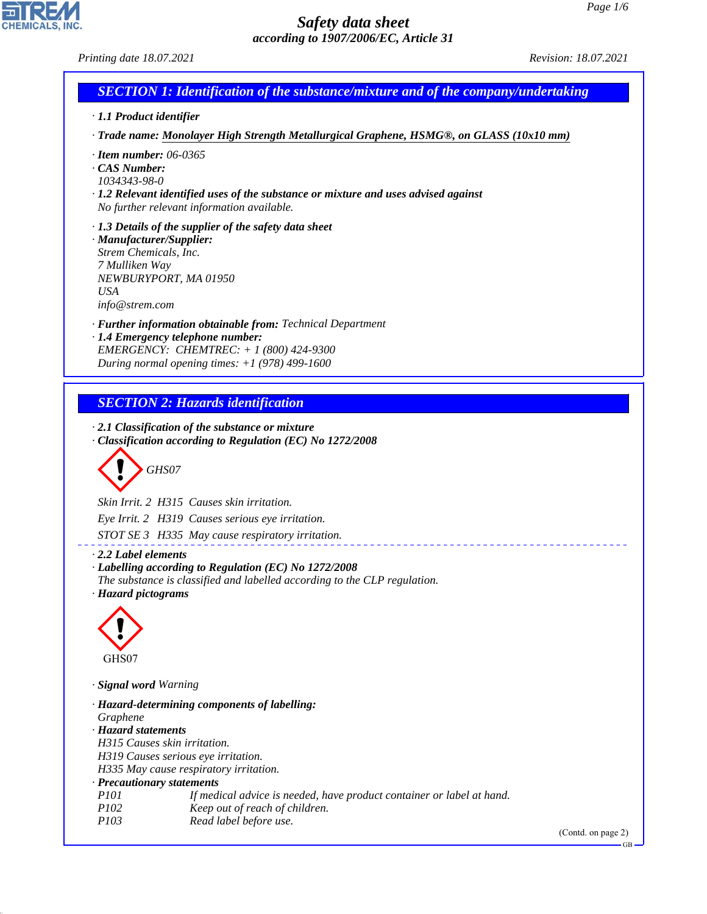*Printing date 18.07.2021 Revision: 18.07.2021*

CHEMICALS, INC.

44.1.1

| · 1.1 Product identifier                    |                                                                                                                                          |  |
|---------------------------------------------|------------------------------------------------------------------------------------------------------------------------------------------|--|
|                                             | · Trade name: Monolayer High Strength Metallurgical Graphene, HSMG®, on GLASS (10x10 mm)                                                 |  |
|                                             |                                                                                                                                          |  |
| $\cdot$ Item number: 06-0365<br>CAS Number: |                                                                                                                                          |  |
| 1034343-98-0                                |                                                                                                                                          |  |
|                                             | $\cdot$ 1.2 Relevant identified uses of the substance or mixture and uses advised against                                                |  |
|                                             | No further relevant information available.                                                                                               |  |
|                                             | $\cdot$ 1.3 Details of the supplier of the safety data sheet                                                                             |  |
| · Manufacturer/Supplier:                    |                                                                                                                                          |  |
| Strem Chemicals, Inc.<br>7 Mulliken Way     |                                                                                                                                          |  |
|                                             | NEWBURYPORT, MA 01950                                                                                                                    |  |
| <b>USA</b>                                  |                                                                                                                                          |  |
| info@strem.com                              |                                                                                                                                          |  |
|                                             | · Further information obtainable from: Technical Department                                                                              |  |
|                                             | · 1.4 Emergency telephone number:                                                                                                        |  |
|                                             | EMERGENCY: CHEMTREC: $+ 1 (800) 424 - 9300$<br>During normal opening times: $+1$ (978) 499-1600                                          |  |
|                                             |                                                                                                                                          |  |
|                                             | <b>SECTION 2: Hazards identification</b>                                                                                                 |  |
|                                             | $\cdot$ 2.1 Classification of the substance or mixture                                                                                   |  |
|                                             | Classification according to Regulation (EC) No 1272/2008                                                                                 |  |
|                                             |                                                                                                                                          |  |
|                                             | GHS07                                                                                                                                    |  |
|                                             |                                                                                                                                          |  |
|                                             | Skin Irrit. 2 H315 Causes skin irritation.                                                                                               |  |
|                                             | Eye Irrit. 2 H319 Causes serious eye irritation.                                                                                         |  |
|                                             | STOT SE 3 H335 May cause respiratory irritation.                                                                                         |  |
| 2.2 Label elements                          |                                                                                                                                          |  |
|                                             | $\cdot$ Labelling according to Regulation (EC) No 1272/2008<br>The substance is classified and labelled according to the CLP regulation. |  |
| · Hazard pictograms                         |                                                                                                                                          |  |
|                                             |                                                                                                                                          |  |
|                                             |                                                                                                                                          |  |
|                                             |                                                                                                                                          |  |
| GHS07                                       |                                                                                                                                          |  |
| · Signal word Warning                       |                                                                                                                                          |  |
|                                             | · Hazard-determining components of labelling:                                                                                            |  |
| Graphene                                    |                                                                                                                                          |  |
| · Hazard statements                         |                                                                                                                                          |  |
|                                             | H315 Causes skin irritation.                                                                                                             |  |
|                                             | H319 Causes serious eye irritation.<br>H335 May cause respiratory irritation.                                                            |  |
|                                             | · Precautionary statements                                                                                                               |  |
|                                             | If medical advice is needed, have product container or label at hand.                                                                    |  |
| P101                                        |                                                                                                                                          |  |
| P102<br>P103                                | Keep out of reach of children.<br>Read label before use.                                                                                 |  |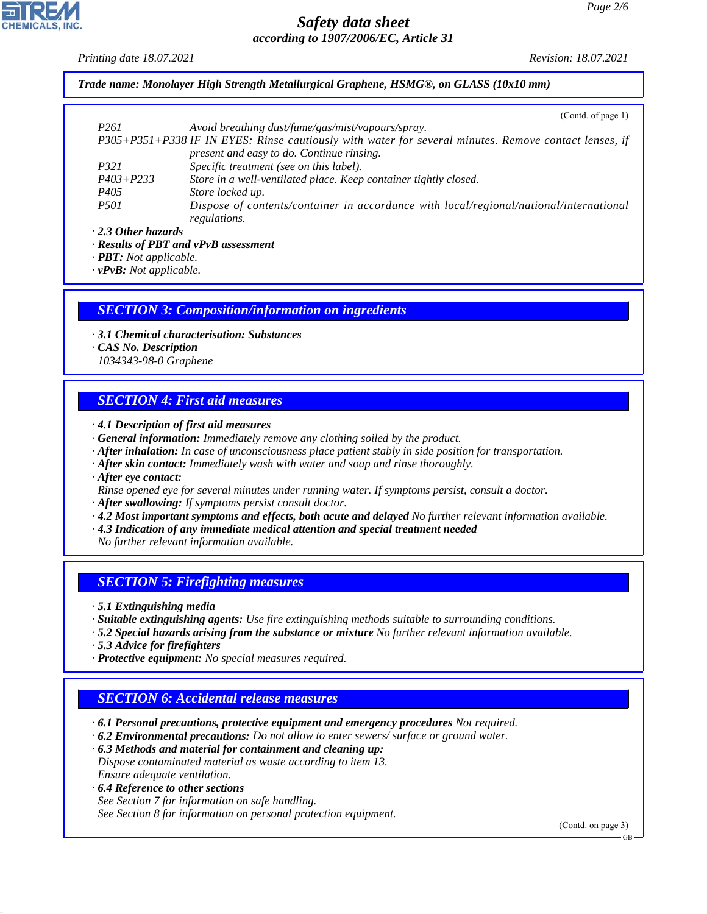*Printing date 18.07.2021 Revision: 18.07.2021*

*Trade name: Monolayer High Strength Metallurgical Graphene, HSMG®, on GLASS (10x10 mm)*

|                           | (Cond. of page 1)                                                                                     |
|---------------------------|-------------------------------------------------------------------------------------------------------|
| P <sub>261</sub>          | Avoid breathing dust/fume/gas/mist/vapours/spray.                                                     |
|                           | P305+P351+P338 IF IN EYES: Rinse cautiously with water for several minutes. Remove contact lenses, if |
|                           | present and easy to do. Continue rinsing.                                                             |
| <i>P321</i>               | Specific treatment (see on this label).                                                               |
| $P403 + P233$             | Store in a well-ventilated place. Keep container tightly closed.                                      |
| P <sub>405</sub>          | Store locked up.                                                                                      |
| <i>P501</i>               | Dispose of contents/container in accordance with local/regional/national/international                |
|                           | regulations.                                                                                          |
| $\cdot$ 2.3 Other hazards |                                                                                                       |

*· Results of PBT and vPvB assessment*

*· PBT: Not applicable.*

*· vPvB: Not applicable.*

# *SECTION 3: Composition/information on ingredients*

- *· 3.1 Chemical characterisation: Substances*
- *· CAS No. Description*
- *1034343-98-0 Graphene*

# *SECTION 4: First aid measures*

- *· 4.1 Description of first aid measures*
- *· General information: Immediately remove any clothing soiled by the product.*
- *· After inhalation: In case of unconsciousness place patient stably in side position for transportation.*
- *· After skin contact: Immediately wash with water and soap and rinse thoroughly.*
- *· After eye contact:*
- *Rinse opened eye for several minutes under running water. If symptoms persist, consult a doctor.*
- *· After swallowing: If symptoms persist consult doctor.*
- *· 4.2 Most important symptoms and effects, both acute and delayed No further relevant information available.*
- *· 4.3 Indication of any immediate medical attention and special treatment needed*
- *No further relevant information available.*

# *SECTION 5: Firefighting measures*

*· 5.1 Extinguishing media*

- *· Suitable extinguishing agents: Use fire extinguishing methods suitable to surrounding conditions.*
- *· 5.2 Special hazards arising from the substance or mixture No further relevant information available.*
- *· 5.3 Advice for firefighters*
- *· Protective equipment: No special measures required.*

# *SECTION 6: Accidental release measures*

- *· 6.1 Personal precautions, protective equipment and emergency procedures Not required.*
- *· 6.2 Environmental precautions: Do not allow to enter sewers/ surface or ground water.*

*· 6.3 Methods and material for containment and cleaning up: Dispose contaminated material as waste according to item 13. Ensure adequate ventilation.*

*· 6.4 Reference to other sections*

44.1.1

*See Section 7 for information on safe handling. See Section 8 for information on personal protection equipment.*

(Contd. on page 3)

GB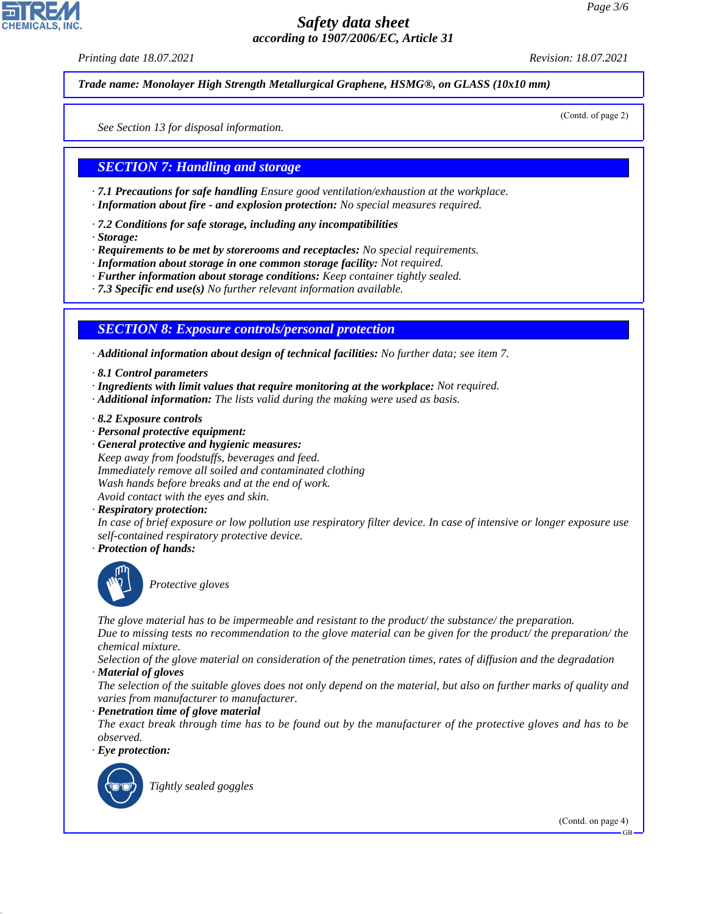*Printing date 18.07.2021 Revision: 18.07.2021*

*Trade name: Monolayer High Strength Metallurgical Graphene, HSMG®, on GLASS (10x10 mm)*

(Contd. of page 2)

*See Section 13 for disposal information.*

#### *SECTION 7: Handling and storage*

*· 7.1 Precautions for safe handling Ensure good ventilation/exhaustion at the workplace.*

- *· Information about fire and explosion protection: No special measures required.*
- *· 7.2 Conditions for safe storage, including any incompatibilities*
- *· Storage:*

*· Requirements to be met by storerooms and receptacles: No special requirements.*

- *· Information about storage in one common storage facility: Not required.*
- *· Further information about storage conditions: Keep container tightly sealed.*
- *· 7.3 Specific end use(s) No further relevant information available.*

#### *SECTION 8: Exposure controls/personal protection*

*· Additional information about design of technical facilities: No further data; see item 7.*

- *· 8.1 Control parameters*
- *· Ingredients with limit values that require monitoring at the workplace: Not required.*
- *· Additional information: The lists valid during the making were used as basis.*
- *· 8.2 Exposure controls*
- *· Personal protective equipment:*
- *· General protective and hygienic measures: Keep away from foodstuffs, beverages and feed. Immediately remove all soiled and contaminated clothing Wash hands before breaks and at the end of work. Avoid contact with the eyes and skin.*
- *· Respiratory protection:*

*In case of brief exposure or low pollution use respiratory filter device. In case of intensive or longer exposure use self-contained respiratory protective device.*

*· Protection of hands:*



\_S*Protective gloves*

*The glove material has to be impermeable and resistant to the product/ the substance/ the preparation.*

*Due to missing tests no recommendation to the glove material can be given for the product/ the preparation/ the chemical mixture.*

*Selection of the glove material on consideration of the penetration times, rates of diffusion and the degradation*

*· Material of gloves*

*The selection of the suitable gloves does not only depend on the material, but also on further marks of quality and varies from manufacturer to manufacturer.*

*· Penetration time of glove material*

*The exact break through time has to be found out by the manufacturer of the protective gloves and has to be observed.*

*· Eye protection:*



44.1.1

\_R*Tightly sealed goggles*

(Contd. on page 4)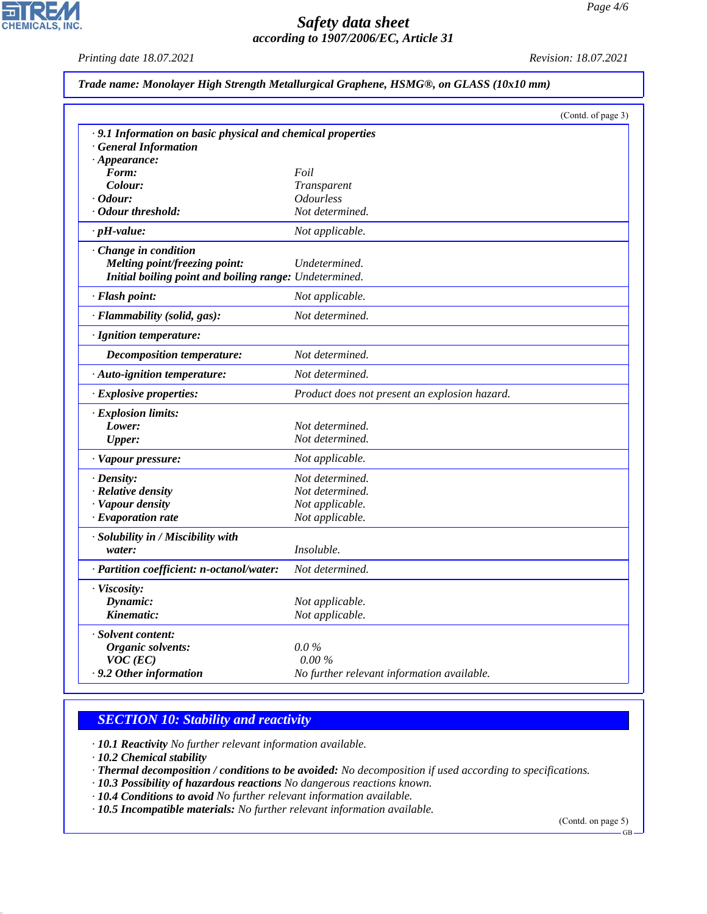*Printing date 18.07.2021 Revision: 18.07.2021*

 $\overline{\phantom{a}}$ 

**CHEMICALS, INC.** 

|  |  |  | Trade name: Monolayer High Strength Metallurgical Graphene, HSMG®, on GLASS (10x10 mm) |  |  |  |  |
|--|--|--|----------------------------------------------------------------------------------------|--|--|--|--|
|--|--|--|----------------------------------------------------------------------------------------|--|--|--|--|

|                                                             |                                               | (Contd. of page 3) |
|-------------------------------------------------------------|-----------------------------------------------|--------------------|
| · 9.1 Information on basic physical and chemical properties |                                               |                    |
| <b>General Information</b>                                  |                                               |                    |
| $\cdot$ Appearance:                                         |                                               |                    |
| Form:                                                       | Foil                                          |                    |
| Colour:                                                     | Transparent                                   |                    |
| $\cdot$ Odour:                                              | <i><b>Odourless</b></i>                       |                    |
| Odour threshold:                                            | Not determined.                               |                    |
| $\cdot$ pH-value:                                           | Not applicable.                               |                    |
| · Change in condition                                       |                                               |                    |
| Melting point/freezing point:                               | Undetermined.                                 |                    |
| Initial boiling point and boiling range: Undetermined.      |                                               |                    |
| · Flash point:                                              | Not applicable.                               |                    |
| · Flammability (solid, gas):                                | Not determined.                               |                    |
| · Ignition temperature:                                     |                                               |                    |
| <b>Decomposition temperature:</b>                           | Not determined.                               |                    |
| · Auto-ignition temperature:                                | Not determined.                               |                    |
| · Explosive properties:                                     | Product does not present an explosion hazard. |                    |
| · Explosion limits:                                         |                                               |                    |
| Lower:                                                      | Not determined.                               |                    |
| <b>Upper:</b>                                               | Not determined.                               |                    |
| · Vapour pressure:                                          | Not applicable.                               |                    |
| · Density:                                                  | Not determined.                               |                    |
| · Relative density                                          | Not determined.                               |                    |
| · Vapour density                                            | Not applicable.                               |                    |
| $\cdot$ Evaporation rate                                    | Not applicable.                               |                    |
| · Solubility in / Miscibility with                          |                                               |                    |
| water:                                                      | Insoluble.                                    |                    |
| · Partition coefficient: n-octanol/water:                   | Not determined.                               |                    |
| · Viscosity:                                                |                                               |                    |
| Dynamic:                                                    | Not applicable.                               |                    |
| Kinematic:                                                  | Not applicable.                               |                    |
| · Solvent content:                                          |                                               |                    |
| Organic solvents:                                           | $0.0\,\%$                                     |                    |
| $VOC$ (EC)                                                  | 0.00%                                         |                    |
| . 9.2 Other information                                     | No further relevant information available.    |                    |

#### *SECTION 10: Stability and reactivity*

*· 10.1 Reactivity No further relevant information available.*

*· 10.2 Chemical stability*

44.1.1

*· Thermal decomposition / conditions to be avoided: No decomposition if used according to specifications.*

*· 10.3 Possibility of hazardous reactions No dangerous reactions known.*

*· 10.4 Conditions to avoid No further relevant information available.*

*· 10.5 Incompatible materials: No further relevant information available.*

(Contd. on page 5)

GB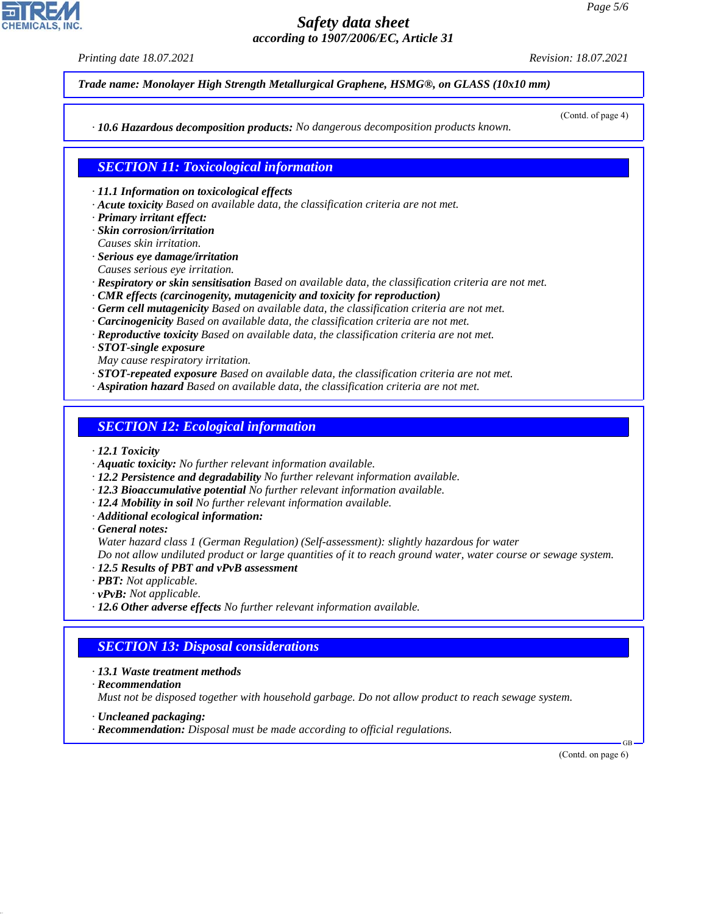*Printing date 18.07.2021 Revision: 18.07.2021*

*Trade name: Monolayer High Strength Metallurgical Graphene, HSMG®, on GLASS (10x10 mm)*

(Contd. of page 4)

*· 10.6 Hazardous decomposition products: No dangerous decomposition products known.*

*SECTION 11: Toxicological information*

*· 11.1 Information on toxicological effects*

- *· Acute toxicity Based on available data, the classification criteria are not met.*
- *· Primary irritant effect:*
- *· Skin corrosion/irritation*
- *Causes skin irritation.*
- *· Serious eye damage/irritation*
- *Causes serious eye irritation.*
- *· Respiratory or skin sensitisation Based on available data, the classification criteria are not met.*
- *· CMR effects (carcinogenity, mutagenicity and toxicity for reproduction)*
- *· Germ cell mutagenicity Based on available data, the classification criteria are not met.*
- *· Carcinogenicity Based on available data, the classification criteria are not met.*
- *· Reproductive toxicity Based on available data, the classification criteria are not met.*
- *· STOT-single exposure*
- *May cause respiratory irritation.*
- *· STOT-repeated exposure Based on available data, the classification criteria are not met.*
- *· Aspiration hazard Based on available data, the classification criteria are not met.*

#### *SECTION 12: Ecological information*

- *· 12.1 Toxicity*
- *· Aquatic toxicity: No further relevant information available.*
- *· 12.2 Persistence and degradability No further relevant information available.*
- *· 12.3 Bioaccumulative potential No further relevant information available.*
- *· 12.4 Mobility in soil No further relevant information available.*
- *· Additional ecological information:*
- *· General notes:*

*Water hazard class 1 (German Regulation) (Self-assessment): slightly hazardous for water*

*Do not allow undiluted product or large quantities of it to reach ground water, water course or sewage system.*

- *· 12.5 Results of PBT and vPvB assessment*
- *· PBT: Not applicable.*
- *· vPvB: Not applicable.*
- *· 12.6 Other adverse effects No further relevant information available.*

### *SECTION 13: Disposal considerations*

- *· 13.1 Waste treatment methods*
- *· Recommendation*

44.1.1

*Must not be disposed together with household garbage. Do not allow product to reach sewage system.*

- *· Uncleaned packaging:*
- *· Recommendation: Disposal must be made according to official regulations.*

(Contd. on page 6)

GB